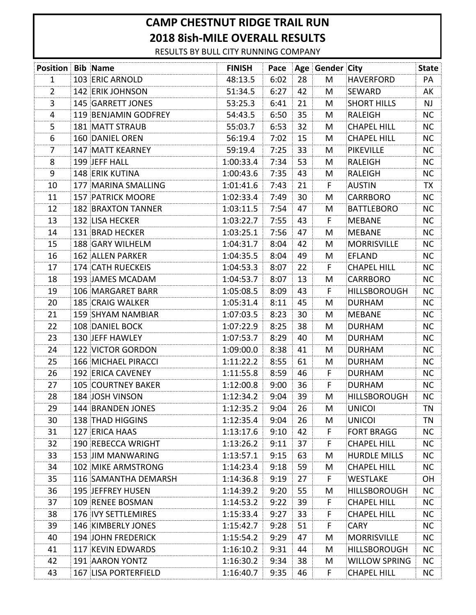## **CAMP CHESTNUT RIDGE TRAIL RUN 2018 8ish-MILE OVERALL RESULTS**

RESULTS BY BULL CITY RUNNING COMPANY

| <b>Position Bib Name</b> |                             | <b>FINISH</b> |      |     | Pace Age Gender City |                     | <b>State</b> |
|--------------------------|-----------------------------|---------------|------|-----|----------------------|---------------------|--------------|
| 1                        | 103 ERIC ARNOLD             | 48:13.5       | 6:02 | 28  | M                    | <b>HAVERFORD</b>    | PA           |
| 2                        | 142 ERIK JOHNSON            | 51:34.5       | 6:27 | 42  | M                    | SEWARD              | AK           |
| 3                        | 145 GARRETT JONES           | 53:25.3       | 6:41 | 21  | M                    | <b>SHORT HILLS</b>  | <b>NJ</b>    |
| 4                        | 119 BENJAMIN GODFREY        | 54:43.5       | 6:50 | 35  | M                    | RALEIGH             | <b>NC</b>    |
| 5                        | <b>181 MATT STRAUB</b>      | 55:03.7       | 6:53 | 32  | M                    | <b>CHAPEL HILL</b>  | NC           |
| 6                        | 160 DANIEL OREN             | 56:19.4       | 7:02 | 15  | M                    | <b>CHAPEL HILL</b>  | <b>NC</b>    |
| 7                        | 147 MATT KEARNEY            | 59:19.4       | 7:25 | 33  | M                    | <b>PIKEVILLE</b>    | <b>NC</b>    |
| 8                        | 199 JEFF HALL               | 1:00:33.4     | 7:34 | 53  | M                    | RALEIGH             | <b>NC</b>    |
| 9                        | 148 ERIK KUTINA             | 1:00:43.6     | 7:35 | 43  | M                    | <b>RALEIGH</b>      | <b>NC</b>    |
| 10                       | 177 MARINA SMALLING         | 1:01:41.6     | 7:43 | 21  | F.                   | <b>AUSTIN</b>       | TX           |
| 11                       | 157 PATRICK MOORE           | 1:02:33.4     | 7:49 | 30  | M                    | <b>CARRBORO</b>     | NC           |
| 12                       | <b>182 BRAXTON TANNER</b>   | 1:03:11.5     | 7:54 | 47  | M                    | <b>BATTLEBORO</b>   | <b>NC</b>    |
| 13                       | 132 LISA HECKER             | 1:03:22.7     | 7:55 | 43  | F                    | <b>MEBANE</b>       | <b>NC</b>    |
| 14                       | 131 BRAD HECKER             | 1:03:25.1     | 7:56 | 47  | M                    | <b>MEBANE</b>       | <b>NC</b>    |
| 15                       | 188 GARY WILHELM            | 1:04:31.7     | 8:04 | 42  | M                    | <b>MORRISVILLE</b>  | NC.          |
| 16                       | 162 ALLEN PARKER            | 1:04:35.5     | 8:04 | 49  | M                    | <b>EFLAND</b>       | <b>NC</b>    |
| 17                       | 174 CATH RUECKEIS           | 1:04:53.3     | 8:07 | 22  | F.                   | <b>CHAPEL HILL</b>  | NC.          |
| 18                       | 193 JAMES MCADAM            | 1:04:53.7     | 8:07 | 13  | M                    | <b>CARRBORO</b>     | <b>NC</b>    |
| 19                       | 106 MARGARET BARR           | 1:05:08.5     | 8:09 | 43  | F                    | <b>HILLSBOROUGH</b> | <b>NC</b>    |
| 20                       | 185 CRAIG WALKER            | 1:05:31.4     | 8:11 | 45  | M                    | <b>DURHAM</b>       | <b>NC</b>    |
| 21                       | 159 SHYAM NAMBIAR           | 1:07:03.5     | 8:23 | 30  | M                    | <b>MEBANE</b>       | <b>NC</b>    |
| 22                       | 108 DANIEL BOCK             | 1:07:22.9     | 8:25 | 38  | M                    | <b>DURHAM</b>       | <b>NC</b>    |
| 23                       | 130 JEFF HAWLEY             | 1:07:53.7     | 8:29 | 40  | M                    | <b>DURHAM</b>       | <b>NC</b>    |
| 24                       | 122 VICTOR GORDON           | 1:09:00.0     | 8:38 | 41  | M                    | <b>DURHAM</b>       | <b>NC</b>    |
| 25                       | 166 MICHAEL PIRACCI         | 1:11:22.2     | 8:55 | 61  | M                    | <b>DURHAM</b>       | <b>NC</b>    |
| 26                       | 192 ERICA CAVENEY           | 1:11:55.8     | 8:59 | 46  | F                    | <b>DURHAM</b>       | <b>NC</b>    |
| 27                       | <b>105 COURTNEY BAKER</b>   | 1:12:00.8     | 9:00 | 36  | F.                   | <b>DURHAM</b>       | <b>NC</b>    |
| 28                       | 184 JOSH VINSON             | 1:12:34.2     | 9:04 | 39  | M                    | <b>HILLSBOROUGH</b> | <b>NC</b>    |
| 29                       | 144 BRANDEN JONES           | 1:12:35.2     | 9:04 | 26  | M                    | <b>UNICOI</b>       | ΤN           |
| 30                       | 138 THAD HIGGINS            | 1:12:35.4     | 9:04 | -26 | M                    | UNICOL              | TN           |
| 31                       | 127 ERICA HAAS              | 1:13:17.6     | 9:10 | 42  | F.                   | <b>FORT BRAGG</b>   | NC.          |
| 32                       | 190 REBECCA WRIGHT          | 1:13:26.2     | 9:11 | 37  | F.                   | CHAPEL HILL         | NC.          |
| 33                       | 153 JIM MANWARING           | 1:13:57.1     | 9:15 | 63  | M                    | <b>HURDLE MILLS</b> | <b>NC</b>    |
| 34                       | 102 MIKE ARMSTRONG          | 1:14:23.4     | 9:18 | 59  | M                    | CHAPEL HILL         | NC.          |
| 35                       | 116 SAMANTHA DEMARSH        | 1:14:36.8     | 9:19 | 27  | F.                   | WESTLAKE            | <b>OH</b>    |
| 36                       | 195 JEFFREY HUSEN           | 1:14:39.2     | 9:20 | 55  | M                    | <b>HILLSBOROUGH</b> | NC.          |
| 37                       | 109 RENEE BOSMAN            | 1:14:53.2     | 9:22 | 39  | F.                   | <b>CHAPEL HILL</b>  | <b>NC</b>    |
| 38                       | 176 IVY SETTLEMIRES         | 1:15:33.4     | 9:27 | 33  | F.                   | <b>CHAPEL HILL</b>  | NC           |
| 39                       | 146 KIMBERLY JONES          | 1:15:42.7     | 9:28 | 51  | F.                   | <b>CARY</b>         | <b>NC</b>    |
| 40                       | 194 JOHN FREDERICK          | 1:15:54.2     | 9:29 | 47  | M                    | <b>MORRISVILLE</b>  | NC.          |
| 41                       | 117 KEVIN EDWARDS           | 1:16:10.2     | 9:31 | 44  | M                    | <b>HILLSBOROUGH</b> | NC.          |
| 42                       | 191 AARON YONTZ             | 1:16:30.2     | 9:34 | 38  | M                    | WILLOW SPRING       | NC.          |
| 43                       | <b>167 LISA PORTERFIELD</b> | 1:16:40.7     | 9:35 | 46  | F.                   | <b>CHAPEL HILL</b>  | NC           |